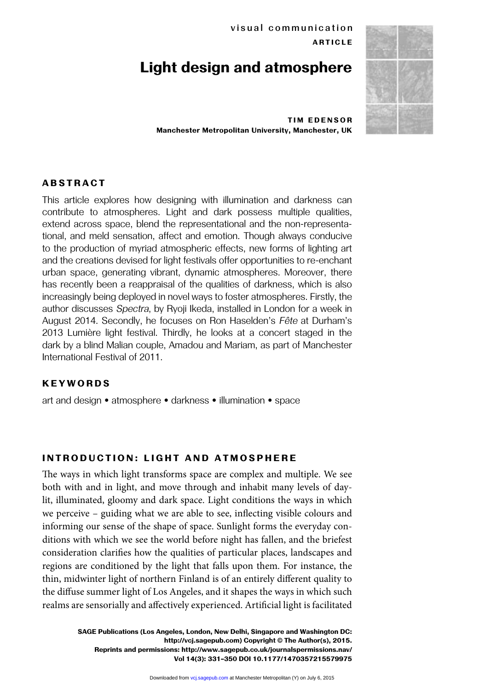visual communication **ARTICLE** 

# Light design and atmosphere



**TIM EDENSOR** Manchester Metropolitan University, Manchester, UK

#### **ARSTRACT**

This article explores how designing with illumination and darkness can contribute to atmospheres. Light and dark possess multiple qualities, extend across space, blend the representational and the non-representational, and meld sensation, affect and emotion. Though always conducive to the production of myriad atmospheric effects, new forms of lighting art and the creations devised for light festivals offer opportunities to re-enchant urban space, generating vibrant, dynamic atmospheres. Moreover, there has recently been a reappraisal of the qualities of darkness, which is also increasingly being deployed in novel ways to foster atmospheres. Firstly, the author discusses Spectra, by Ryoji Ikeda, installed in London for a week in August 2014. Secondly, he focuses on Ron Haselden's Fête at Durham's 2013 Lumière light festival. Thirdly, he looks at a concert staged in the dark by a blind Malian couple, Amadou and Mariam, as part of Manchester International Festival of 2011.

## **KFYWORDS**

art and design • atmosphere • darkness • illumination • space

## INTRODUCTION: LIGHT AND ATMOSPHERE

The ways in which light transforms space are complex and multiple. We see both with and in light, and move through and inhabit many levels of daylit, illuminated, gloomy and dark space. Light conditions the ways in which we perceive – guiding what we are able to see, inflecting visible colours and informing our sense of the shape of space. Sunlight forms the everyday conditions with which we see the world before night has fallen, and the briefest consideration clarifies how the qualities of particular places, landscapes and regions are conditioned by the light that falls upon them. For instance, the thin, midwinter light of northern Finland is of an entirely different quality to the diffuse summer light of Los Angeles, and it shapes the ways in which such realms are sensorially and affectively experienced. Artificial light is facilitated

> SAGE Publications (Los Angeles, London, New Delhi, Singapore and Washington DC: http://vcj.sagepub.com) Copyright © The Author(s), 2015. Reprints and permissions: http://www.sagepub.co.uk/journalspermissions.nav/ Vol 14(3): 331–350 DOI 10.1177/1470357215579975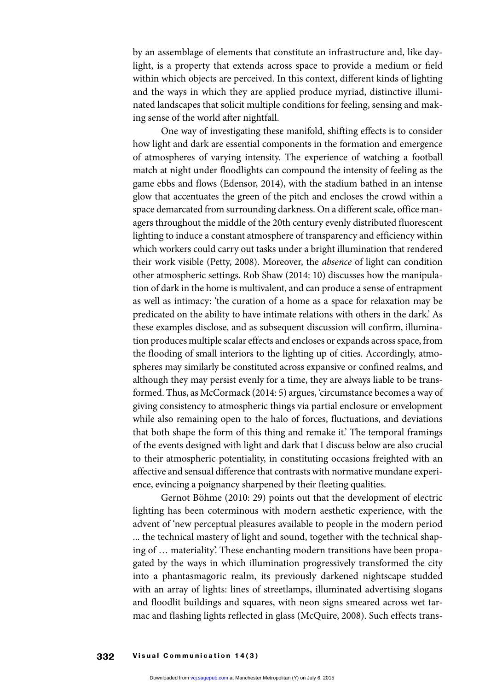by an assemblage of elements that constitute an infrastructure and, like daylight, is a property that extends across space to provide a medium or field within which objects are perceived. In this context, different kinds of lighting and the ways in which they are applied produce myriad, distinctive illuminated landscapes that solicit multiple conditions for feeling, sensing and making sense of the world after nightfall.

One way of investigating these manifold, shifting effects is to consider how light and dark are essential components in the formation and emergence of atmospheres of varying intensity. The experience of watching a football match at night under floodlights can compound the intensity of feeling as the game ebbs and flows (Edensor, 2014), with the stadium bathed in an intense glow that accentuates the green of the pitch and encloses the crowd within a space demarcated from surrounding darkness. On a different scale, office managers throughout the middle of the 20th century evenly distributed fluorescent lighting to induce a constant atmosphere of transparency and efficiency within which workers could carry out tasks under a bright illumination that rendered their work visible (Petty, 2008). Moreover, the *absence* of light can condition other atmospheric settings. Rob Shaw (2014: 10) discusses how the manipulation of dark in the home is multivalent, and can produce a sense of entrapment as well as intimacy: 'the curation of a home as a space for relaxation may be predicated on the ability to have intimate relations with others in the dark.' As these examples disclose, and as subsequent discussion will confirm, illumination produces multiple scalar effects and encloses or expands across space, from the flooding of small interiors to the lighting up of cities. Accordingly, atmospheres may similarly be constituted across expansive or confined realms, and although they may persist evenly for a time, they are always liable to be transformed. Thus, as McCormack (2014: 5) argues, 'circumstance becomes a way of giving consistency to atmospheric things via partial enclosure or envelopment while also remaining open to the halo of forces, fluctuations, and deviations that both shape the form of this thing and remake it.' The temporal framings of the events designed with light and dark that I discuss below are also crucial to their atmospheric potentiality, in constituting occasions freighted with an affective and sensual difference that contrasts with normative mundane experience, evincing a poignancy sharpened by their fleeting qualities.

Gernot Böhme (2010: 29) points out that the development of electric lighting has been coterminous with modern aesthetic experience, with the advent of 'new perceptual pleasures available to people in the modern period ... the technical mastery of light and sound, together with the technical shaping of … materiality'. These enchanting modern transitions have been propagated by the ways in which illumination progressively transformed the city into a phantasmagoric realm, its previously darkened nightscape studded with an array of lights: lines of streetlamps, illuminated advertising slogans and floodlit buildings and squares, with neon signs smeared across wet tarmac and flashing lights reflected in glass (McQuire, 2008). Such effects trans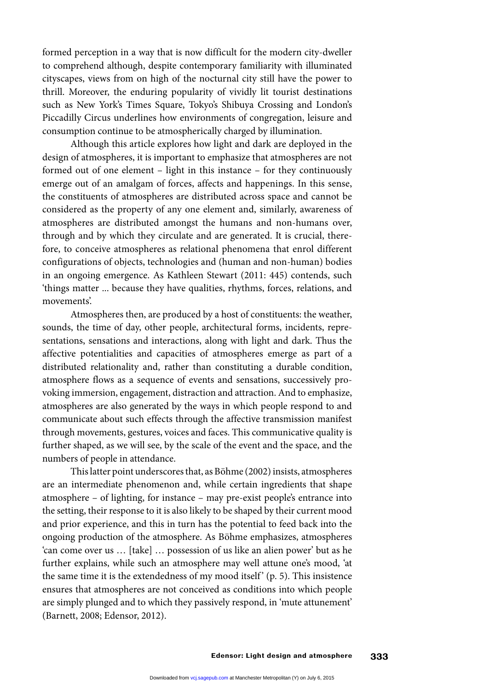formed perception in a way that is now difficult for the modern city-dweller to comprehend although, despite contemporary familiarity with illuminated cityscapes, views from on high of the nocturnal city still have the power to thrill. Moreover, the enduring popularity of vividly lit tourist destinations such as New York's Times Square, Tokyo's Shibuya Crossing and London's Piccadilly Circus underlines how environments of congregation, leisure and consumption continue to be atmospherically charged by illumination.

Although this article explores how light and dark are deployed in the design of atmospheres, it is important to emphasize that atmospheres are not formed out of one element – light in this instance – for they continuously emerge out of an amalgam of forces, affects and happenings. In this sense, the constituents of atmospheres are distributed across space and cannot be considered as the property of any one element and, similarly, awareness of atmospheres are distributed amongst the humans and non-humans over, through and by which they circulate and are generated. It is crucial, therefore, to conceive atmospheres as relational phenomena that enrol different configurations of objects, technologies and (human and non-human) bodies in an ongoing emergence. As Kathleen Stewart (2011: 445) contends, such 'things matter ... because they have qualities, rhythms, forces, relations, and movements'.

Atmospheres then, are produced by a host of constituents: the weather, sounds, the time of day, other people, architectural forms, incidents, representations, sensations and interactions, along with light and dark. Thus the affective potentialities and capacities of atmospheres emerge as part of a distributed relationality and, rather than constituting a durable condition, atmosphere flows as a sequence of events and sensations, successively provoking immersion, engagement, distraction and attraction. And to emphasize, atmospheres are also generated by the ways in which people respond to and communicate about such effects through the affective transmission manifest through movements, gestures, voices and faces. This communicative quality is further shaped, as we will see, by the scale of the event and the space, and the numbers of people in attendance.

This latter point underscores that, as Böhme (2002) insists, atmospheres are an intermediate phenomenon and, while certain ingredients that shape atmosphere – of lighting, for instance – may pre-exist people's entrance into the setting, their response to it is also likely to be shaped by their current mood and prior experience, and this in turn has the potential to feed back into the ongoing production of the atmosphere. As Böhme emphasizes, atmospheres 'can come over us … [take] … possession of us like an alien power' but as he further explains, while such an atmosphere may well attune one's mood, 'at the same time it is the extendedness of my mood itself'  $(p. 5)$ . This insistence ensures that atmospheres are not conceived as conditions into which people are simply plunged and to which they passively respond, in 'mute attunement' (Barnett, 2008; Edensor, 2012).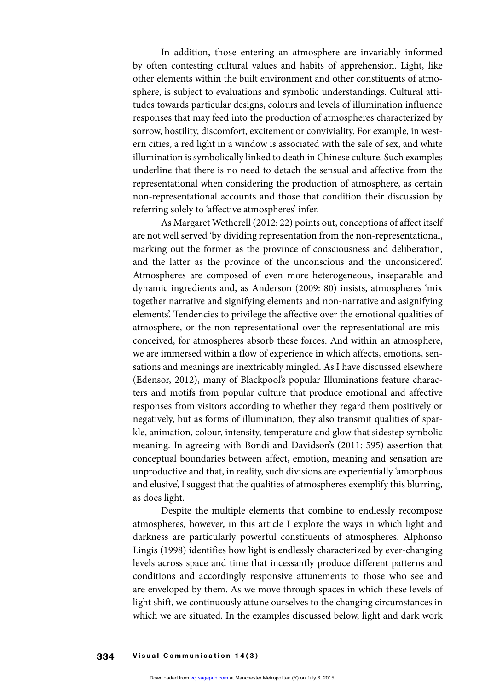In addition, those entering an atmosphere are invariably informed by often contesting cultural values and habits of apprehension. Light, like other elements within the built environment and other constituents of atmosphere, is subject to evaluations and symbolic understandings. Cultural attitudes towards particular designs, colours and levels of illumination influence responses that may feed into the production of atmospheres characterized by sorrow, hostility, discomfort, excitement or conviviality. For example, in western cities, a red light in a window is associated with the sale of sex, and white illumination is symbolically linked to death in Chinese culture. Such examples underline that there is no need to detach the sensual and affective from the representational when considering the production of atmosphere, as certain non-representational accounts and those that condition their discussion by referring solely to 'affective atmospheres' infer.

As Margaret Wetherell (2012: 22) points out, conceptions of affect itself are not well served 'by dividing representation from the non-representational, marking out the former as the province of consciousness and deliberation, and the latter as the province of the unconscious and the unconsidered'. Atmospheres are composed of even more heterogeneous, inseparable and dynamic ingredients and, as Anderson (2009: 80) insists, atmospheres 'mix together narrative and signifying elements and non-narrative and asignifying elements'. Tendencies to privilege the affective over the emotional qualities of atmosphere, or the non-representational over the representational are misconceived, for atmospheres absorb these forces. And within an atmosphere, we are immersed within a flow of experience in which affects, emotions, sensations and meanings are inextricably mingled. As I have discussed elsewhere (Edensor, 2012), many of Blackpool's popular Illuminations feature characters and motifs from popular culture that produce emotional and affective responses from visitors according to whether they regard them positively or negatively, but as forms of illumination, they also transmit qualities of sparkle, animation, colour, intensity, temperature and glow that sidestep symbolic meaning. In agreeing with Bondi and Davidson's (2011: 595) assertion that conceptual boundaries between affect, emotion, meaning and sensation are unproductive and that, in reality, such divisions are experientially 'amorphous and elusive', I suggest that the qualities of atmospheres exemplify this blurring, as does light.

Despite the multiple elements that combine to endlessly recompose atmospheres, however, in this article I explore the ways in which light and darkness are particularly powerful constituents of atmospheres. Alphonso Lingis (1998) identifies how light is endlessly characterized by ever-changing levels across space and time that incessantly produce different patterns and conditions and accordingly responsive attunements to those who see and are enveloped by them. As we move through spaces in which these levels of light shift, we continuously attune ourselves to the changing circumstances in which we are situated. In the examples discussed below, light and dark work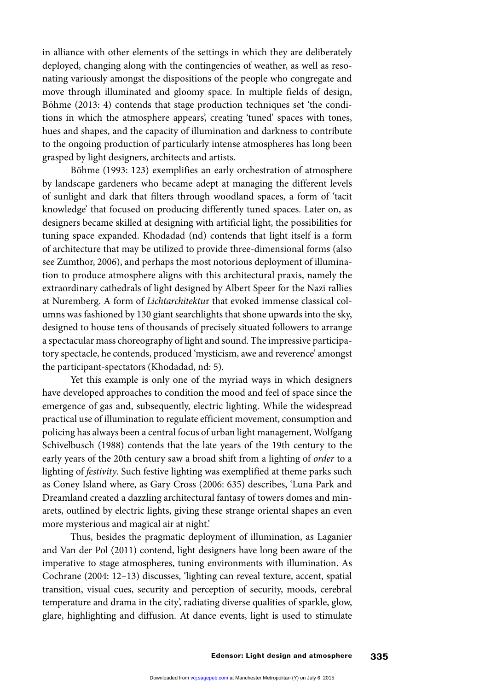in alliance with other elements of the settings in which they are deliberately deployed, changing along with the contingencies of weather, as well as resonating variously amongst the dispositions of the people who congregate and move through illuminated and gloomy space. In multiple fields of design, Böhme (2013: 4) contends that stage production techniques set 'the conditions in which the atmosphere appears', creating 'tuned' spaces with tones, hues and shapes, and the capacity of illumination and darkness to contribute to the ongoing production of particularly intense atmospheres has long been grasped by light designers, architects and artists.

Böhme (1993: 123) exemplifies an early orchestration of atmosphere by landscape gardeners who became adept at managing the different levels of sunlight and dark that filters through woodland spaces, a form of 'tacit knowledge' that focused on producing differently tuned spaces. Later on, as designers became skilled at designing with artificial light, the possibilities for tuning space expanded. Khodadad (nd) contends that light itself is a form of architecture that may be utilized to provide three-dimensional forms (also see Zumthor, 2006), and perhaps the most notorious deployment of illumination to produce atmosphere aligns with this architectural praxis, namely the extraordinary cathedrals of light designed by Albert Speer for the Nazi rallies at Nuremberg. A form of *Lichtarchitektu*r that evoked immense classical columns was fashioned by 130 giant searchlights that shone upwards into the sky, designed to house tens of thousands of precisely situated followers to arrange a spectacular mass choreography of light and sound. The impressive participatory spectacle, he contends, produced 'mysticism, awe and reverence' amongst the participant-spectators (Khodadad, nd: 5).

Yet this example is only one of the myriad ways in which designers have developed approaches to condition the mood and feel of space since the emergence of gas and, subsequently, electric lighting. While the widespread practical use of illumination to regulate efficient movement, consumption and policing has always been a central focus of urban light management, Wolfgang Schivelbusch (1988) contends that the late years of the 19th century to the early years of the 20th century saw a broad shift from a lighting of *order* to a lighting of *festivity*. Such festive lighting was exemplified at theme parks such as Coney Island where, as Gary Cross (2006: 635) describes, 'Luna Park and Dreamland created a dazzling architectural fantasy of towers domes and minarets, outlined by electric lights, giving these strange oriental shapes an even more mysterious and magical air at night.'

Thus, besides the pragmatic deployment of illumination, as Laganier and Van der Pol (2011) contend, light designers have long been aware of the imperative to stage atmospheres, tuning environments with illumination. As Cochrane (2004: 12–13) discusses, 'lighting can reveal texture, accent, spatial transition, visual cues, security and perception of security, moods, cerebral temperature and drama in the city', radiating diverse qualities of sparkle, glow, glare, highlighting and diffusion. At dance events, light is used to stimulate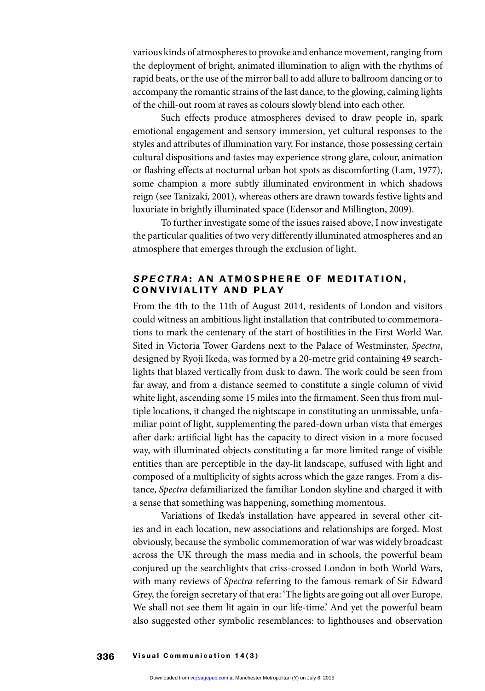various kinds of atmospheres to provoke and enhance movement, ranging from the deployment of bright, animated illumination to align with the rhythms of rapid beats, or the use of the mirror ball to add allure to ballroom dancing or to accompany the romantic strains of the last dance, to the glowing, calming lights of the chill-out room at raves as colours slowly blend into each other.

Such effects produce atmospheres devised to draw people in, spark emotional engagement and sensory immersion, yet cultural responses to the styles and attributes of illumination vary. For instance, those possessing certain cultural dispositions and tastes may experience strong glare, colour, animation or flashing effects at nocturnal urban hot spots as discomforting (Lam, 1977), some champion a more subtly illuminated environment in which shadows reign (see Tanizaki, 2001), whereas others are drawn towards festive lights and luxuriate in brightly illuminated space (Edensor and Millington, 2009).

To further investigate some of the issues raised above, I now investigate the particular qualities of two very differently illuminated atmospheres and an atmosphere that emerges through the exclusion of light.

## **SPECTRA: AN ATMOSPHERE OF MEDITATION, CONVIVIALITY AND PLAY**

From the 4th to the 11th of August 2014, residents of London and visitors could witness an ambitious light installation that contributed to commemorations to mark the centenary of the start of hostilities in the First World War. Sited in Victoria Tower Gardens next to the Palace of Westminster, *Spectra*, designed by Ryoji Ikeda, was formed by a 20-metre grid containing 49 searchlights that blazed vertically from dusk to dawn. The work could be seen from far away, and from a distance seemed to constitute a single column of vivid white light, ascending some 15 miles into the firmament. Seen thus from multiple locations, it changed the nightscape in constituting an unmissable, unfamiliar point of light, supplementing the pared-down urban vista that emerges after dark: artificial light has the capacity to direct vision in a more focused way, with illuminated objects constituting a far more limited range of visible entities than are perceptible in the day-lit landscape, suffused with light and composed of a multiplicity of sights across which the gaze ranges. From a distance, *Spectra* defamiliarized the familiar London skyline and charged it with a sense that something was happening, something momentous.

Variations of Ikeda's installation have appeared in several other cities and in each location, new associations and relationships are forged. Most obviously, because the symbolic commemoration of war was widely broadcast across the UK through the mass media and in schools, the powerful beam conjured up the searchlights that criss-crossed London in both World Wars, with many reviews of *Spectra* referring to the famous remark of Sir Edward Grey, the foreign secretary of that era: 'The lights are going out all over Europe. We shall not see them lit again in our life-time.' And yet the powerful beam also suggested other symbolic resemblances: to lighthouses and observation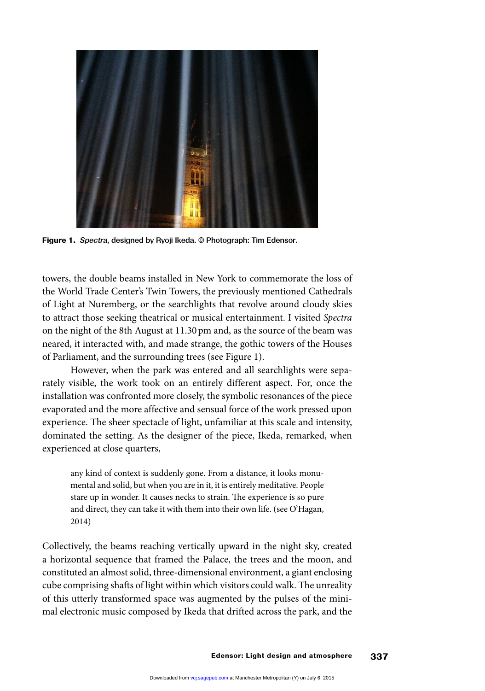

Figure 1. *Spectra*, designed by Ryoji Ikeda. © Photograph: Tim Edensor.

towers, the double beams installed in New York to commemorate the loss of the World Trade Center's Twin Towers, the previously mentioned Cathedrals of Light at Nuremberg, or the searchlights that revolve around cloudy skies to attract those seeking theatrical or musical entertainment. I visited *Spectra* on the night of the 8th August at 11.30pm and, as the source of the beam was neared, it interacted with, and made strange, the gothic towers of the Houses of Parliament, and the surrounding trees (see Figure 1).

However, when the park was entered and all searchlights were separately visible, the work took on an entirely different aspect. For, once the installation was confronted more closely, the symbolic resonances of the piece evaporated and the more affective and sensual force of the work pressed upon experience. The sheer spectacle of light, unfamiliar at this scale and intensity, dominated the setting. As the designer of the piece, Ikeda, remarked, when experienced at close quarters,

any kind of context is suddenly gone. From a distance, it looks monumental and solid, but when you are in it, it is entirely meditative. People stare up in wonder. It causes necks to strain. The experience is so pure and direct, they can take it with them into their own life. (see O'Hagan, 2014)

Collectively, the beams reaching vertically upward in the night sky, created a horizontal sequence that framed the Palace, the trees and the moon, and constituted an almost solid, three-dimensional environment, a giant enclosing cube comprising shafts of light within which visitors could walk. The unreality of this utterly transformed space was augmented by the pulses of the minimal electronic music composed by Ikeda that drifted across the park, and the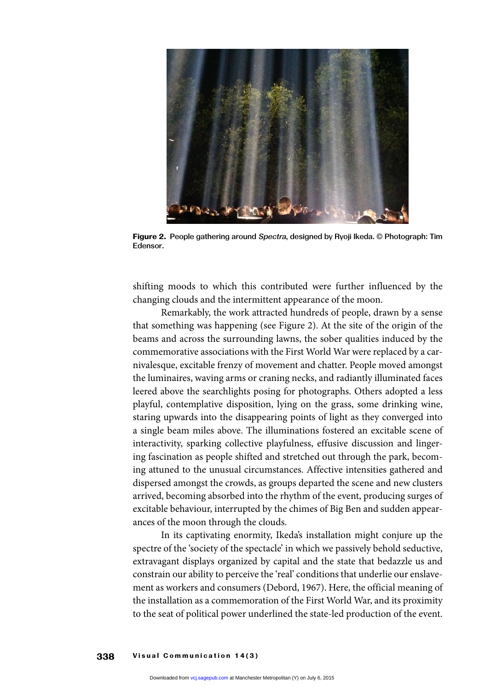

Figure 2. People gathering around *Spectra*, designed by Ryoji Ikeda. © Photograph: Tim Edensor.

shifting moods to which this contributed were further influenced by the changing clouds and the intermittent appearance of the moon.

Remarkably, the work attracted hundreds of people, drawn by a sense that something was happening (see Figure 2). At the site of the origin of the beams and across the surrounding lawns, the sober qualities induced by the commemorative associations with the First World War were replaced by a carnivalesque, excitable frenzy of movement and chatter. People moved amongst the luminaires, waving arms or craning necks, and radiantly illuminated faces leered above the searchlights posing for photographs. Others adopted a less playful, contemplative disposition, lying on the grass, some drinking wine, staring upwards into the disappearing points of light as they converged into a single beam miles above. The illuminations fostered an excitable scene of interactivity, sparking collective playfulness, effusive discussion and lingering fascination as people shifted and stretched out through the park, becoming attuned to the unusual circumstances. Affective intensities gathered and dispersed amongst the crowds, as groups departed the scene and new clusters arrived, becoming absorbed into the rhythm of the event, producing surges of excitable behaviour, interrupted by the chimes of Big Ben and sudden appearances of the moon through the clouds.

In its captivating enormity, Ikeda's installation might conjure up the spectre of the 'society of the spectacle' in which we passively behold seductive, extravagant displays organized by capital and the state that bedazzle us and constrain our ability to perceive the 'real' conditions that underlie our enslavement as workers and consumers (Debord, 1967). Here, the official meaning of the installation as a commemoration of the First World War, and its proximity to the seat of political power underlined the state-led production of the event.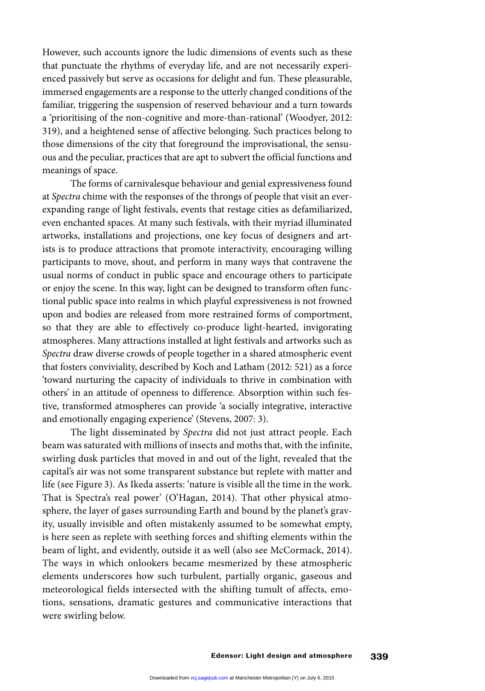However, such accounts ignore the ludic dimensions of events such as these that punctuate the rhythms of everyday life, and are not necessarily experienced passively but serve as occasions for delight and fun. These pleasurable, immersed engagements are a response to the utterly changed conditions of the familiar, triggering the suspension of reserved behaviour and a turn towards a 'prioritising of the non-cognitive and more-than-rational' (Woodyer, 2012: 319), and a heightened sense of affective belonging. Such practices belong to those dimensions of the city that foreground the improvisational, the sensuous and the peculiar, practices that are apt to subvert the official functions and meanings of space.

The forms of carnivalesque behaviour and genial expressiveness found at *Spectra* chime with the responses of the throngs of people that visit an everexpanding range of light festivals, events that restage cities as defamiliarized, even enchanted spaces. At many such festivals, with their myriad illuminated artworks, installations and projections, one key focus of designers and artists is to produce attractions that promote interactivity, encouraging willing participants to move, shout, and perform in many ways that contravene the usual norms of conduct in public space and encourage others to participate or enjoy the scene. In this way, light can be designed to transform often functional public space into realms in which playful expressiveness is not frowned upon and bodies are released from more restrained forms of comportment, so that they are able to effectively co-produce light-hearted, invigorating atmospheres. Many attractions installed at light festivals and artworks such as *Spectra* draw diverse crowds of people together in a shared atmospheric event that fosters conviviality, described by Koch and Latham (2012: 521) as a force 'toward nurturing the capacity of individuals to thrive in combination with others' in an attitude of openness to difference. Absorption within such festive, transformed atmospheres can provide 'a socially integrative, interactive and emotionally engaging experience' (Stevens, 2007: 3).

The light disseminated by *Spectra* did not just attract people. Each beam was saturated with millions of insects and moths that, with the infinite, swirling dusk particles that moved in and out of the light, revealed that the capital's air was not some transparent substance but replete with matter and life (see Figure 3). As Ikeda asserts: 'nature is visible all the time in the work. That is Spectra's real power' (O'Hagan, 2014). That other physical atmosphere, the layer of gases surrounding Earth and bound by the planet's gravity, usually invisible and often mistakenly assumed to be somewhat empty, is here seen as replete with seething forces and shifting elements within the beam of light, and evidently, outside it as well (also see McCormack, 2014). The ways in which onlookers became mesmerized by these atmospheric elements underscores how such turbulent, partially organic, gaseous and meteorological fields intersected with the shifting tumult of affects, emotions, sensations, dramatic gestures and communicative interactions that were swirling below.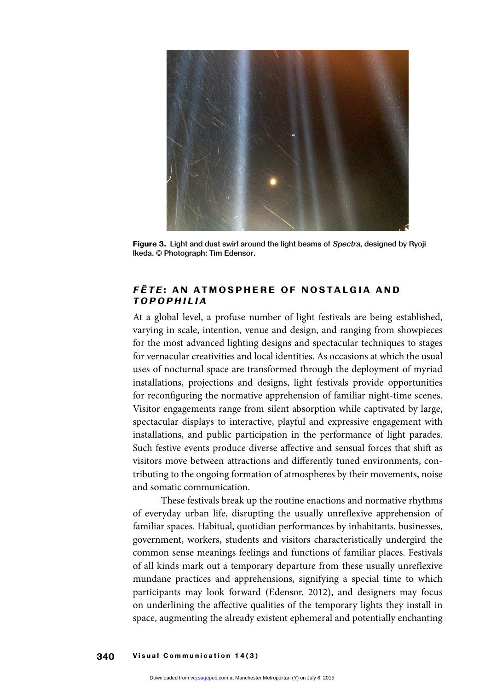

Figure 3. Light and dust swirl around the light beams of *Spectra*, designed by Ryoji Ikeda. © Photograph: Tim Edensor.

## **FÊTE: AN ATMOSPHERE OF NOSTALGIA AND** *TOPOPHILIA*

At a global level, a profuse number of light festivals are being established, varying in scale, intention, venue and design, and ranging from showpieces for the most advanced lighting designs and spectacular techniques to stages for vernacular creativities and local identities. As occasions at which the usual uses of nocturnal space are transformed through the deployment of myriad installations, projections and designs, light festivals provide opportunities for reconfiguring the normative apprehension of familiar night-time scenes. Visitor engagements range from silent absorption while captivated by large, spectacular displays to interactive, playful and expressive engagement with installations, and public participation in the performance of light parades. Such festive events produce diverse affective and sensual forces that shift as visitors move between attractions and differently tuned environments, contributing to the ongoing formation of atmospheres by their movements, noise and somatic communication.

These festivals break up the routine enactions and normative rhythms of everyday urban life, disrupting the usually unreflexive apprehension of familiar spaces. Habitual, quotidian performances by inhabitants, businesses, government, workers, students and visitors characteristically undergird the common sense meanings feelings and functions of familiar places. Festivals of all kinds mark out a temporary departure from these usually unreflexive mundane practices and apprehensions, signifying a special time to which participants may look forward (Edensor, 2012), and designers may focus on underlining the affective qualities of the temporary lights they install in space, augmenting the already existent ephemeral and potentially enchanting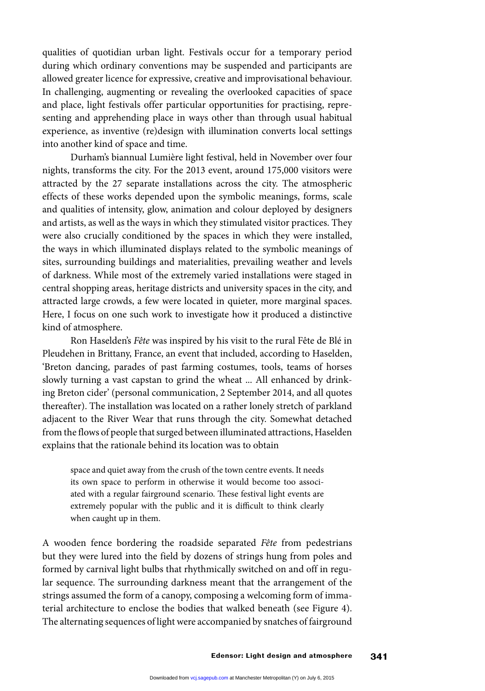qualities of quotidian urban light. Festivals occur for a temporary period during which ordinary conventions may be suspended and participants are allowed greater licence for expressive, creative and improvisational behaviour. In challenging, augmenting or revealing the overlooked capacities of space and place, light festivals offer particular opportunities for practising, representing and apprehending place in ways other than through usual habitual experience, as inventive (re)design with illumination converts local settings into another kind of space and time.

Durham's biannual Lumière light festival, held in November over four nights, transforms the city. For the 2013 event, around 175,000 visitors were attracted by the 27 separate installations across the city. The atmospheric effects of these works depended upon the symbolic meanings, forms, scale and qualities of intensity, glow, animation and colour deployed by designers and artists, as well as the ways in which they stimulated visitor practices. They were also crucially conditioned by the spaces in which they were installed, the ways in which illuminated displays related to the symbolic meanings of sites, surrounding buildings and materialities, prevailing weather and levels of darkness. While most of the extremely varied installations were staged in central shopping areas, heritage districts and university spaces in the city, and attracted large crowds, a few were located in quieter, more marginal spaces. Here, I focus on one such work to investigate how it produced a distinctive kind of atmosphere.

Ron Haselden's *Fête* was inspired by his visit to the rural Fête de Blé in Pleudehen in Brittany, France, an event that included, according to Haselden, 'Breton dancing, parades of past farming costumes, tools, teams of horses slowly turning a vast capstan to grind the wheat ... All enhanced by drinking Breton cider' (personal communication, 2 September 2014, and all quotes thereafter). The installation was located on a rather lonely stretch of parkland adjacent to the River Wear that runs through the city. Somewhat detached from the flows of people that surged between illuminated attractions, Haselden explains that the rationale behind its location was to obtain

space and quiet away from the crush of the town centre events. It needs its own space to perform in otherwise it would become too associated with a regular fairground scenario. These festival light events are extremely popular with the public and it is difficult to think clearly when caught up in them.

A wooden fence bordering the roadside separated *Fête* from pedestrians but they were lured into the field by dozens of strings hung from poles and formed by carnival light bulbs that rhythmically switched on and off in regular sequence. The surrounding darkness meant that the arrangement of the strings assumed the form of a canopy, composing a welcoming form of immaterial architecture to enclose the bodies that walked beneath (see Figure 4). The alternating sequences of light were accompanied by snatches of fairground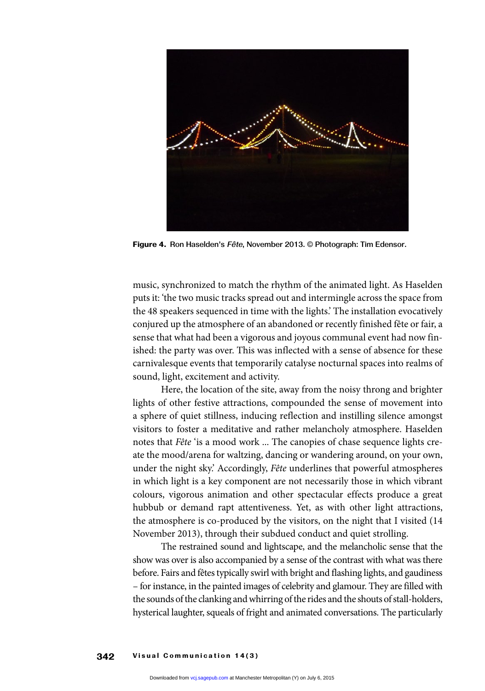

Figure 4. Ron Haselden's *Fête*, November 2013. © Photograph: Tim Edensor.

music, synchronized to match the rhythm of the animated light. As Haselden puts it: 'the two music tracks spread out and intermingle across the space from the 48 speakers sequenced in time with the lights.' The installation evocatively conjured up the atmosphere of an abandoned or recently finished fête or fair, a sense that what had been a vigorous and joyous communal event had now finished: the party was over. This was inflected with a sense of absence for these carnivalesque events that temporarily catalyse nocturnal spaces into realms of sound, light, excitement and activity.

Here, the location of the site, away from the noisy throng and brighter lights of other festive attractions, compounded the sense of movement into a sphere of quiet stillness, inducing reflection and instilling silence amongst visitors to foster a meditative and rather melancholy atmosphere. Haselden notes that *Fête* 'is a mood work ... The canopies of chase sequence lights create the mood/arena for waltzing, dancing or wandering around, on your own, under the night sky.' Accordingly, *Fête* underlines that powerful atmospheres in which light is a key component are not necessarily those in which vibrant colours, vigorous animation and other spectacular effects produce a great hubbub or demand rapt attentiveness. Yet, as with other light attractions, the atmosphere is co-produced by the visitors, on the night that I visited (14 November 2013), through their subdued conduct and quiet strolling.

The restrained sound and lightscape, and the melancholic sense that the show was over is also accompanied by a sense of the contrast with what was there before. Fairs and fêtes typically swirl with bright and flashing lights, and gaudiness – for instance, in the painted images of celebrity and glamour. They are filled with the sounds of the clanking and whirring of the rides and the shouts of stall-holders, hysterical laughter, squeals of fright and animated conversations. The particularly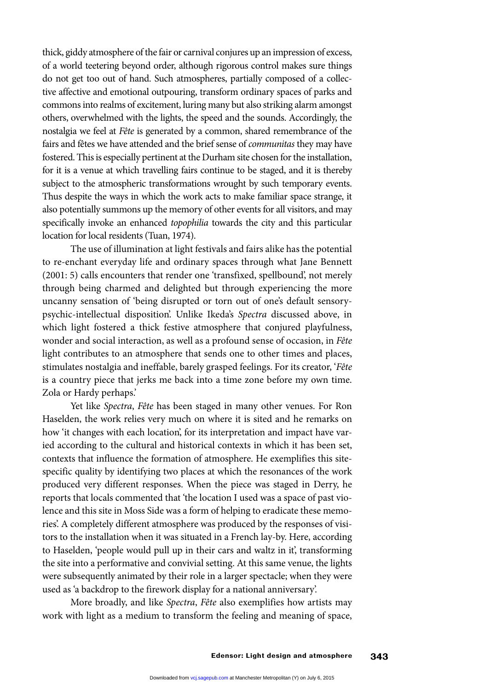thick, giddy atmosphere of the fair or carnival conjures up an impression of excess, of a world teetering beyond order, although rigorous control makes sure things do not get too out of hand. Such atmospheres, partially composed of a collective affective and emotional outpouring, transform ordinary spaces of parks and commons into realms of excitement, luring many but also striking alarm amongst others, overwhelmed with the lights, the speed and the sounds. Accordingly, the nostalgia we feel at *Fête* is generated by a common, shared remembrance of the fairs and fêtes we have attended and the brief sense of *communitas* they may have fostered. This is especially pertinent at the Durham site chosen for the installation, for it is a venue at which travelling fairs continue to be staged, and it is thereby subject to the atmospheric transformations wrought by such temporary events. Thus despite the ways in which the work acts to make familiar space strange, it also potentially summons up the memory of other events for all visitors, and may specifically invoke an enhanced *topophilia* towards the city and this particular location for local residents (Tuan, 1974).

The use of illumination at light festivals and fairs alike has the potential to re-enchant everyday life and ordinary spaces through what Jane Bennett (2001: 5) calls encounters that render one 'transfixed, spellbound', not merely through being charmed and delighted but through experiencing the more uncanny sensation of 'being disrupted or torn out of one's default sensorypsychic-intellectual disposition'. Unlike Ikeda's *Spectra* discussed above, in which light fostered a thick festive atmosphere that conjured playfulness, wonder and social interaction, as well as a profound sense of occasion, in *Fête* light contributes to an atmosphere that sends one to other times and places, stimulates nostalgia and ineffable, barely grasped feelings. For its creator, '*Fête* is a country piece that jerks me back into a time zone before my own time. Zola or Hardy perhaps.'

Yet like *Spectra*, *Fête* has been staged in many other venues. For Ron Haselden, the work relies very much on where it is sited and he remarks on how 'it changes with each location', for its interpretation and impact have varied according to the cultural and historical contexts in which it has been set, contexts that influence the formation of atmosphere. He exemplifies this sitespecific quality by identifying two places at which the resonances of the work produced very different responses. When the piece was staged in Derry, he reports that locals commented that 'the location I used was a space of past violence and this site in Moss Side was a form of helping to eradicate these memories'. A completely different atmosphere was produced by the responses of visitors to the installation when it was situated in a French lay-by. Here, according to Haselden, 'people would pull up in their cars and waltz in it', transforming the site into a performative and convivial setting. At this same venue, the lights were subsequently animated by their role in a larger spectacle; when they were used as 'a backdrop to the firework display for a national anniversary'.

More broadly, and like *Spectra*, *Fête* also exemplifies how artists may work with light as a medium to transform the feeling and meaning of space,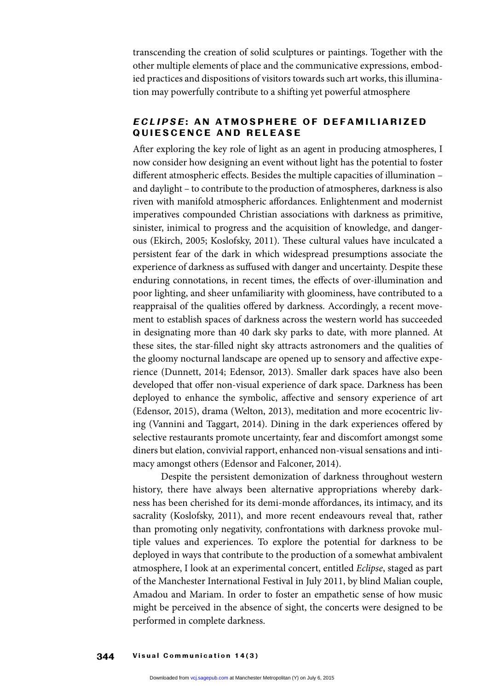transcending the creation of solid sculptures or paintings. Together with the other multiple elements of place and the communicative expressions, embodied practices and dispositions of visitors towards such art works, this illumination may powerfully contribute to a shifting yet powerful atmosphere

## *ECLIPSE: AN ATMOSPHERE OF DEFAMILIARIZED* QUIESCENCE AND RELEASE

After exploring the key role of light as an agent in producing atmospheres, I now consider how designing an event without light has the potential to foster different atmospheric effects. Besides the multiple capacities of illumination – and daylight – to contribute to the production of atmospheres, darkness is also riven with manifold atmospheric affordances. Enlightenment and modernist imperatives compounded Christian associations with darkness as primitive, sinister, inimical to progress and the acquisition of knowledge, and dangerous (Ekirch, 2005; Koslofsky, 2011). These cultural values have inculcated a persistent fear of the dark in which widespread presumptions associate the experience of darkness as suffused with danger and uncertainty. Despite these enduring connotations, in recent times, the effects of over-illumination and poor lighting, and sheer unfamiliarity with gloominess, have contributed to a reappraisal of the qualities offered by darkness. Accordingly, a recent movement to establish spaces of darkness across the western world has succeeded in designating more than 40 dark sky parks to date, with more planned. At these sites, the star-filled night sky attracts astronomers and the qualities of the gloomy nocturnal landscape are opened up to sensory and affective experience (Dunnett, 2014; Edensor, 2013). Smaller dark spaces have also been developed that offer non-visual experience of dark space. Darkness has been deployed to enhance the symbolic, affective and sensory experience of art (Edensor, 2015), drama (Welton, 2013), meditation and more ecocentric living (Vannini and Taggart, 2014). Dining in the dark experiences offered by selective restaurants promote uncertainty, fear and discomfort amongst some diners but elation, convivial rapport, enhanced non-visual sensations and intimacy amongst others (Edensor and Falconer, 2014).

Despite the persistent demonization of darkness throughout western history, there have always been alternative appropriations whereby darkness has been cherished for its demi-monde affordances, its intimacy, and its sacrality (Koslofsky, 2011), and more recent endeavours reveal that, rather than promoting only negativity, confrontations with darkness provoke multiple values and experiences. To explore the potential for darkness to be deployed in ways that contribute to the production of a somewhat ambivalent atmosphere, I look at an experimental concert, entitled *Eclipse*, staged as part of the Manchester International Festival in July 2011, by blind Malian couple, Amadou and Mariam. In order to foster an empathetic sense of how music might be perceived in the absence of sight, the concerts were designed to be performed in complete darkness.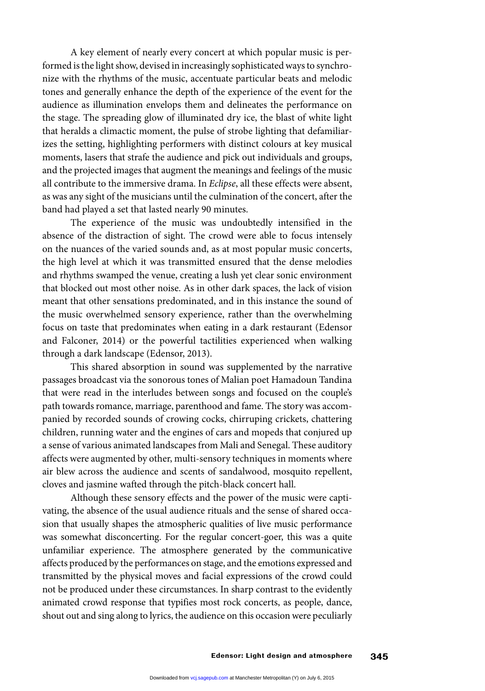A key element of nearly every concert at which popular music is performed is the light show, devised in increasingly sophisticated ways to synchronize with the rhythms of the music, accentuate particular beats and melodic tones and generally enhance the depth of the experience of the event for the audience as illumination envelops them and delineates the performance on the stage. The spreading glow of illuminated dry ice, the blast of white light that heralds a climactic moment, the pulse of strobe lighting that defamiliarizes the setting, highlighting performers with distinct colours at key musical moments, lasers that strafe the audience and pick out individuals and groups, and the projected images that augment the meanings and feelings of the music all contribute to the immersive drama. In *Eclipse*, all these effects were absent, as was any sight of the musicians until the culmination of the concert, after the band had played a set that lasted nearly 90 minutes.

The experience of the music was undoubtedly intensified in the absence of the distraction of sight. The crowd were able to focus intensely on the nuances of the varied sounds and, as at most popular music concerts, the high level at which it was transmitted ensured that the dense melodies and rhythms swamped the venue, creating a lush yet clear sonic environment that blocked out most other noise. As in other dark spaces, the lack of vision meant that other sensations predominated, and in this instance the sound of the music overwhelmed sensory experience, rather than the overwhelming focus on taste that predominates when eating in a dark restaurant (Edensor and Falconer, 2014) or the powerful tactilities experienced when walking through a dark landscape (Edensor, 2013).

This shared absorption in sound was supplemented by the narrative passages broadcast via the sonorous tones of Malian poet Hamadoun Tandina that were read in the interludes between songs and focused on the couple's path towards romance, marriage, parenthood and fame. The story was accompanied by recorded sounds of crowing cocks, chirruping crickets, chattering children, running water and the engines of cars and mopeds that conjured up a sense of various animated landscapes from Mali and Senegal. These auditory affects were augmented by other, multi-sensory techniques in moments where air blew across the audience and scents of sandalwood, mosquito repellent, cloves and jasmine wafted through the pitch-black concert hall.

Although these sensory effects and the power of the music were captivating, the absence of the usual audience rituals and the sense of shared occasion that usually shapes the atmospheric qualities of live music performance was somewhat disconcerting. For the regular concert-goer, this was a quite unfamiliar experience. The atmosphere generated by the communicative affects produced by the performances on stage, and the emotions expressed and transmitted by the physical moves and facial expressions of the crowd could not be produced under these circumstances. In sharp contrast to the evidently animated crowd response that typifies most rock concerts, as people, dance, shout out and sing along to lyrics, the audience on this occasion were peculiarly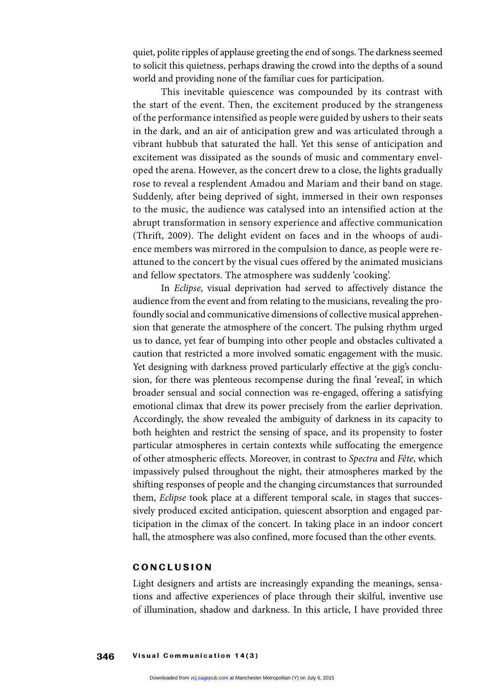quiet, polite ripples of applause greeting the end of songs. The darkness seemed to solicit this quietness, perhaps drawing the crowd into the depths of a sound world and providing none of the familiar cues for participation.

This inevitable quiescence was compounded by its contrast with the start of the event. Then, the excitement produced by the strangeness of the performance intensified as people were guided by ushers to their seats in the dark, and an air of anticipation grew and was articulated through a vibrant hubbub that saturated the hall. Yet this sense of anticipation and excitement was dissipated as the sounds of music and commentary enveloped the arena. However, as the concert drew to a close, the lights gradually rose to reveal a resplendent Amadou and Mariam and their band on stage. Suddenly, after being deprived of sight, immersed in their own responses to the music, the audience was catalysed into an intensified action at the abrupt transformation in sensory experience and affective communication (Thrift, 2009). The delight evident on faces and in the whoops of audience members was mirrored in the compulsion to dance, as people were reattuned to the concert by the visual cues offered by the animated musicians and fellow spectators. The atmosphere was suddenly 'cooking'.

In *Eclipse*, visual deprivation had served to affectively distance the audience from the event and from relating to the musicians, revealing the profoundly social and communicative dimensions of collective musical apprehension that generate the atmosphere of the concert. The pulsing rhythm urged us to dance, yet fear of bumping into other people and obstacles cultivated a caution that restricted a more involved somatic engagement with the music. Yet designing with darkness proved particularly effective at the gig's conclusion, for there was plenteous recompense during the final 'reveal', in which broader sensual and social connection was re-engaged, offering a satisfying emotional climax that drew its power precisely from the earlier deprivation. Accordingly, the show revealed the ambiguity of darkness in its capacity to both heighten and restrict the sensing of space, and its propensity to foster particular atmospheres in certain contexts while suffocating the emergence of other atmospheric effects. Moreover, in contrast to *Spectra* and *Fête*, which impassively pulsed throughout the night, their atmospheres marked by the shifting responses of people and the changing circumstances that surrounded them, *Eclipse* took place at a different temporal scale, in stages that successively produced excited anticipation, quiescent absorption and engaged participation in the climax of the concert. In taking place in an indoor concert hall, the atmosphere was also confined, more focused than the other events.

#### CONCLUSION

Light designers and artists are increasingly expanding the meanings, sensations and affective experiences of place through their skilful, inventive use of illumination, shadow and darkness. In this article, I have provided three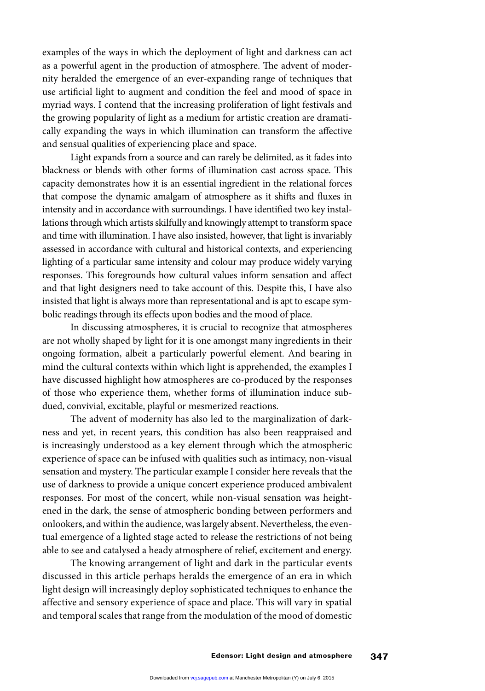examples of the ways in which the deployment of light and darkness can act as a powerful agent in the production of atmosphere. The advent of modernity heralded the emergence of an ever-expanding range of techniques that use artificial light to augment and condition the feel and mood of space in myriad ways. I contend that the increasing proliferation of light festivals and the growing popularity of light as a medium for artistic creation are dramatically expanding the ways in which illumination can transform the affective and sensual qualities of experiencing place and space.

Light expands from a source and can rarely be delimited, as it fades into blackness or blends with other forms of illumination cast across space. This capacity demonstrates how it is an essential ingredient in the relational forces that compose the dynamic amalgam of atmosphere as it shifts and fluxes in intensity and in accordance with surroundings. I have identified two key installations through which artists skilfully and knowingly attempt to transform space and time with illumination. I have also insisted, however, that light is invariably assessed in accordance with cultural and historical contexts, and experiencing lighting of a particular same intensity and colour may produce widely varying responses. This foregrounds how cultural values inform sensation and affect and that light designers need to take account of this. Despite this, I have also insisted that light is always more than representational and is apt to escape symbolic readings through its effects upon bodies and the mood of place.

In discussing atmospheres, it is crucial to recognize that atmospheres are not wholly shaped by light for it is one amongst many ingredients in their ongoing formation, albeit a particularly powerful element. And bearing in mind the cultural contexts within which light is apprehended, the examples I have discussed highlight how atmospheres are co-produced by the responses of those who experience them, whether forms of illumination induce subdued, convivial, excitable, playful or mesmerized reactions.

The advent of modernity has also led to the marginalization of darkness and yet, in recent years, this condition has also been reappraised and is increasingly understood as a key element through which the atmospheric experience of space can be infused with qualities such as intimacy, non-visual sensation and mystery. The particular example I consider here reveals that the use of darkness to provide a unique concert experience produced ambivalent responses. For most of the concert, while non-visual sensation was heightened in the dark, the sense of atmospheric bonding between performers and onlookers, and within the audience, was largely absent. Nevertheless, the eventual emergence of a lighted stage acted to release the restrictions of not being able to see and catalysed a heady atmosphere of relief, excitement and energy.

The knowing arrangement of light and dark in the particular events discussed in this article perhaps heralds the emergence of an era in which light design will increasingly deploy sophisticated techniques to enhance the affective and sensory experience of space and place. This will vary in spatial and temporal scales that range from the modulation of the mood of domestic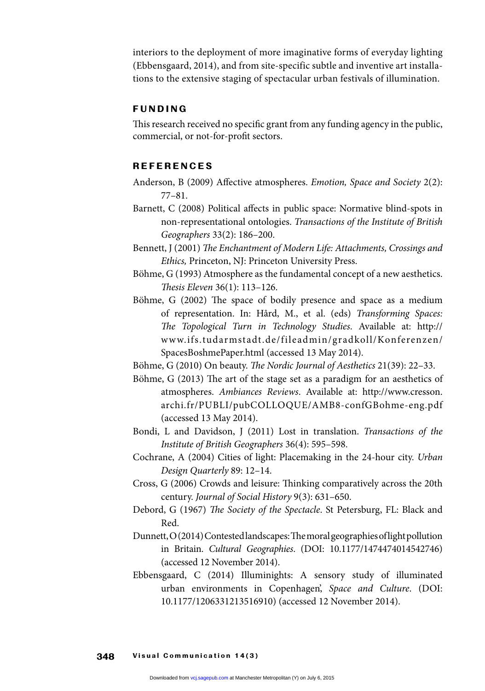interiors to the deployment of more imaginative forms of everyday lighting (Ebbensgaard, 2014), and from site-specific subtle and inventive art installations to the extensive staging of spectacular urban festivals of illumination.

#### FUNDING

This research received no specific grant from any funding agency in the public, commercial, or not-for-profit sectors.

#### **REFERENCES**

- Anderson, B (2009) Affective atmospheres. *Emotion, Space and Society* 2(2): 77–81.
- Barnett, C (2008) Political affects in public space: Normative blind-spots in non-representational ontologies. *Transactions of the Institute of British Geographers* 33(2): 186–200.
- Bennett, J (2001) *The Enchantment of Modern Life: Attachments, Crossings and Ethics,* Princeton, NJ: Princeton University Press.
- Böhme, G (1993) Atmosphere as the fundamental concept of a new aesthetics. *Thesis Eleven* 36(1): 113–126.
- Böhme, G (2002) The space of bodily presence and space as a medium of representation. In: Hård, M., et al. (eds) *Transforming Spaces: The Topological Turn in Technology Studies*. Available at: http:// [www.ifs.tudarmstadt.de/fileadmin/gradkoll/Konferenzen/](http://www.ifs.tudarmstadt.de/fileadmin/gradkoll/Konferenzen/SpacesBoshmePaper.html) SpacesBoshmePaper.html (accessed 13 May 2014).
- Böhme, G (2010) On beauty. *The Nordic Journal of Aesthetics* 21(39): 22–33.
- Böhme, G (2013) The art of the stage set as a paradigm for an aesthetics of atmospheres. *Ambiances Reviews*. Available at: http://www.cresson. [archi.fr/PUBLI/pubCOLLOQUE/AMB8-confGBohme-eng.pdf](http://www.cresson.archi.fr/PUBLI/pubCOLLOQUE/AMB8-confGBohme-eng.pdf)  (accessed 13 May 2014).
- Bondi, L and Davidson, J (2011) Lost in translation. *Transactions of the Institute of British Geographers* 36(4): 595–598.
- Cochrane, A (2004) Cities of light: Placemaking in the 24-hour city. *Urban Design Quarterly* 89: 12–14.
- Cross, G (2006) Crowds and leisure: Thinking comparatively across the 20th century. *Journal of Social History* 9(3): 631–650.
- Debord, G (1967) *The Society of the Spectacle*. St Petersburg, FL: Black and Red.
- Dunnett, O (2014) Contested landscapes: The moral geographies of light pollution in Britain. *Cultural Geographies*. (DOI: 10.1177/1474474014542746) (accessed 12 November 2014).
- Ebbensgaard, C (2014) Illuminights: A sensory study of illuminated urban environments in Copenhagen', *Space and Culture*. (DOI: 10.1177/1206331213516910) (accessed 12 November 2014).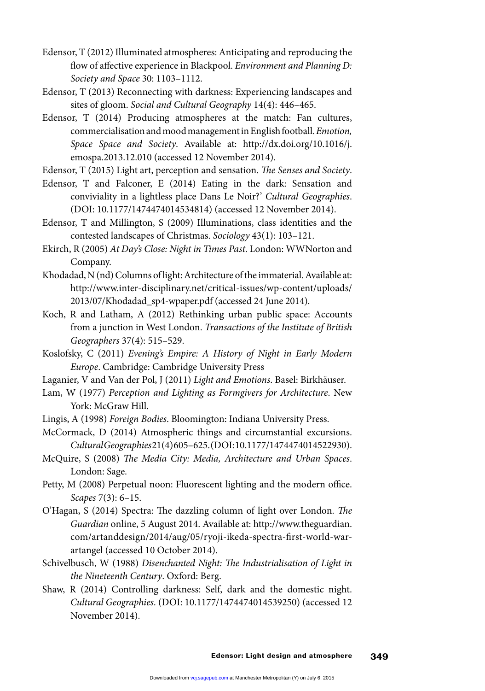- Edensor, T (2012) Illuminated atmospheres: Anticipating and reproducing the flow of affective experience in Blackpool. *Environment and Planning D: Society and Space* 30: 1103–1112.
- Edensor, T (2013) Reconnecting with darkness: Experiencing landscapes and sites of gloom. *Social and Cultural Geography* 14(4): 446–465.
- Edensor, T (2014) Producing atmospheres at the match: Fan cultures, commercialisation and mood management in English football. *Emotion, Space Space and Society*. Available at: http://dx.doi.org/10.1016/j. [emospa.2013.12.010 \(accessed 12 November 2014\).](http://dx.doi.org/10.1016/j.emospa.2013.12.010)
- Edensor, T (2015) Light art, perception and sensation. *The Senses and Society*.
- Edensor, T and Falconer, E (2014) Eating in the dark: Sensation and conviviality in a lightless place Dans Le Noir?' *Cultural Geographies*. (DOI: 10.1177/1474474014534814) (accessed 12 November 2014).
- Edensor, T and Millington, S (2009) Illuminations, class identities and the contested landscapes of Christmas. *Sociology* 43(1): 103–121.

Ekirch, R (2005) *At Day's Close: Night in Times Past*. London: WWNorton and Company.

- Khodadad, N (nd) Columns of light: Architecture of the immaterial. Available at: [http://www.inter-disciplinary.net/critical-issues/wp-content/uploads/](http://www.inter-disciplinary.net/critical-issues/wp-content/uploads/2013/07/Khodadad_sp4-wpaper.pdf) 2013/07/Khodadad\_sp4-wpaper.pdf (accessed 24 June 2014).
- Koch, R and Latham, A (2012) Rethinking urban public space: Accounts from a junction in West London. *Transactions of the Institute of British Geographers* 37(4): 515–529.
- Koslofsky, C (2011) *Evening's Empire: A History of Night in Early Modern Europe*. Cambridge: Cambridge University Press
- Laganier, V and Van der Pol, J (2011) *Light and Emotions*. Basel: Birkhäuser.
- Lam, W (1977) *Perception and Lighting as Formgivers for Architecture*. New York: McGraw Hill.
- Lingis, A (1998) *Foreign Bodies*. Bloomington: Indiana University Press.
- McCormack, D (2014) Atmospheric things and circumstantial excursions. *Cultural Geographies* 21(4) 605–625. (DOI: 10.1177/1474474014522930).
- McQuire, S (2008) *The Media City: Media, Architecture and Urban Spaces*. London: Sage.
- Petty, M (2008) Perpetual noon: Fluorescent lighting and the modern office. *Scapes* 7(3): 6–15.
- O'Hagan, S (2014) Spectra: The dazzling column of light over London. *The Guardian* online, 5 August 2014. Available at: http://www.theguardian. [com/artanddesign/2014/aug/05/ryoji-ikeda-spectra-first-world-war](http://www.theguardian.com/artanddesign/2014/aug/05/ryoji-ikeda-spectra-first-world-warartangel)artangel (accessed 10 October 2014).
- Schivelbusch, W (1988) *Disenchanted Night: The Industrialisation of Light in the Nineteenth Century*. Oxford: Berg.
- Shaw, R (2014) Controlling darkness: Self, dark and the domestic night. *Cultural Geographies*. (DOI: 10.1177/1474474014539250) (accessed 12 November 2014).